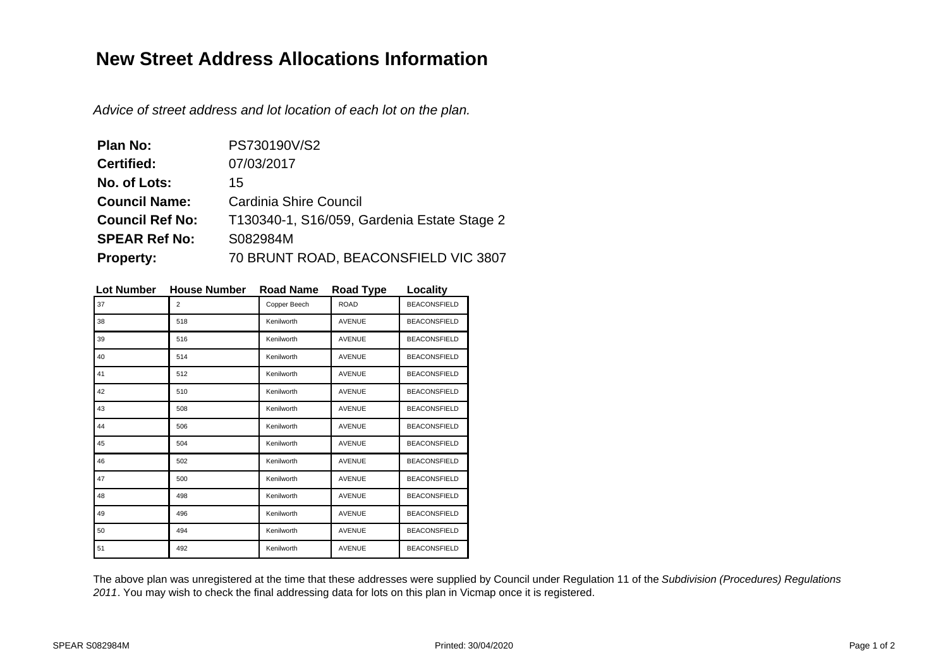## **New Street Address Allocations Information**

Advice of street address and lot location of each lot on the plan.

| Plan No:               | PS730190V/S2                                |
|------------------------|---------------------------------------------|
| <b>Certified:</b>      | 07/03/2017                                  |
| No. of Lots:           | 15                                          |
| <b>Council Name:</b>   | Cardinia Shire Council                      |
| <b>Council Ref No:</b> | T130340-1, S16/059, Gardenia Estate Stage 2 |
| <b>SPEAR Ref No:</b>   | S082984M                                    |
| <b>Property:</b>       | 70 BRUNT ROAD, BEACONSFIELD VIC 3807        |

| Lot Number | <b>House Number</b> | Road Name    | Road Type     | Locality            |
|------------|---------------------|--------------|---------------|---------------------|
| 37         | 2                   | Copper Beech | <b>ROAD</b>   | <b>BEACONSFIELD</b> |
| 38         | 518                 | Kenilworth   | <b>AVENUE</b> | <b>BEACONSFIELD</b> |
| 39         | 516                 | Kenilworth   | <b>AVENUE</b> | <b>BEACONSFIELD</b> |
| 40         | 514                 | Kenilworth   | <b>AVENUE</b> | <b>BEACONSFIELD</b> |
| 41         | 512                 | Kenilworth   | <b>AVENUE</b> | <b>BEACONSFIELD</b> |
| 42         | 510                 | Kenilworth   | <b>AVENUE</b> | <b>BEACONSFIELD</b> |
| 43         | 508                 | Kenilworth   | <b>AVENUE</b> | <b>BEACONSFIELD</b> |
| 44         | 506                 | Kenilworth   | <b>AVENUE</b> | <b>BEACONSFIELD</b> |
| 45         | 504                 | Kenilworth   | <b>AVENUE</b> | <b>BEACONSFIELD</b> |
| 46         | 502                 | Kenilworth   | <b>AVENUE</b> | <b>BEACONSFIELD</b> |
| 47         | 500                 | Kenilworth   | <b>AVENUE</b> | <b>BEACONSFIELD</b> |
| 48         | 498                 | Kenilworth   | <b>AVENUE</b> | <b>BEACONSFIELD</b> |
| 49         | 496                 | Kenilworth   | <b>AVENUE</b> | <b>BEACONSFIELD</b> |
| 50         | 494                 | Kenilworth   | <b>AVENUE</b> | <b>BEACONSFIELD</b> |
| 51         | 492                 | Kenilworth   | <b>AVENUE</b> | <b>BEACONSFIELD</b> |

**Lot Number House Number Road Name Road Type Locality**

The above plan was unregistered at the time that these addresses were supplied by Council under Regulation 11 of the Subdivision (Procedures) Regulations 2011. You may wish to check the final addressing data for lots on this plan in Vicmap once it is registered.